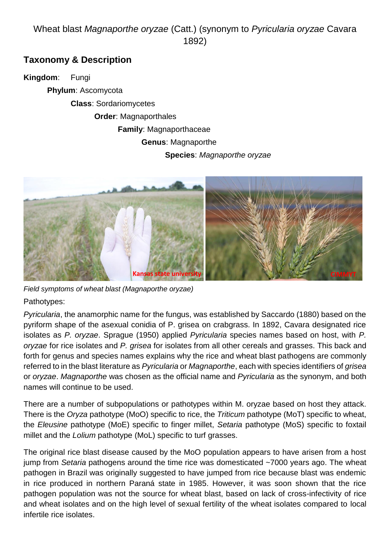# Wheat blast *Magnaporthe oryzae* (Catt.) (synonym to *Pyricularia oryzae* Cavara 1892)

## **Taxonomy & Description**

**Kingdom**: Fungi **Phylum**: Ascomycota **Class**: Sordariomycetes **Order**: Magnaporthales **Family**: Magnaporthaceae **Genus**: Magnaporthe **Species**: *Magnaporthe oryzae*



*Field symptoms of wheat blast (Magnaporthe oryzae)*

Pathotypes:

*Pyricularia*, the anamorphic name for the fungus, was established by Saccardo (1880) based on the pyriform shape of the asexual conidia of P. grisea on crabgrass. In 1892, Cavara designated rice isolates as *P. oryzae*. Sprague (1950) applied *Pyricularia* species names based on host, with *P. oryzae* for rice isolates and *P. grisea* for isolates from all other cereals and grasses. This back and forth for genus and species names explains why the rice and wheat blast pathogens are commonly referred to in the blast literature as *Pyricularia* or *Magnaporthe*, each with species identifiers of *grisea* or *oryzae*. *Magnaporthe* was chosen as the official name and *Pyricularia* as the synonym, and both names will continue to be used.

There are a number of subpopulations or pathotypes within M. oryzae based on host they attack. There is the *Oryza* pathotype (MoO) specific to rice, the *Triticum* pathotype (MoT) specific to wheat, the *Eleusine* pathotype (MoE) specific to finger millet, *Setaria* pathotype (MoS) specific to foxtail millet and the *Lolium* pathotype (MoL) specific to turf grasses.

The original rice blast disease caused by the MoO population appears to have arisen from a host jump from *Setaria* pathogens around the time rice was domesticated ~7000 years ago. The wheat pathogen in Brazil was originally suggested to have jumped from rice because blast was endemic in rice produced in northern Paraná state in 1985. However, it was soon shown that the rice pathogen population was not the source for wheat blast, based on lack of cross-infectivity of rice and wheat isolates and on the high level of sexual fertility of the wheat isolates compared to local infertile rice isolates.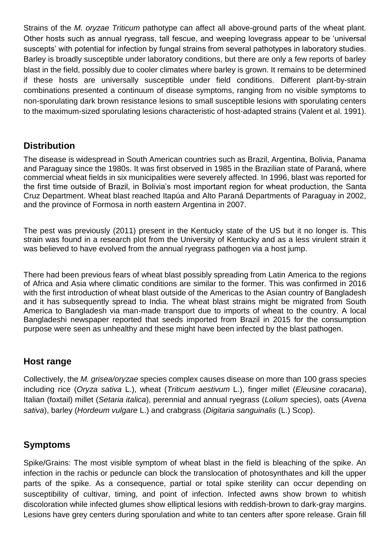Strains of the *M. oryzae Triticum* pathotype can affect all above-ground parts of the wheat plant. Other hosts such as annual ryegrass, tall fescue, and weeping lovegrass appear to be 'universal suscepts' with potential for infection by fungal strains from several pathotypes in laboratory studies. Barley is broadly susceptible under laboratory conditions, but there are only a few reports of barley blast in the field, possibly due to cooler climates where barley is grown. It remains to be determined if these hosts are universally susceptible under field conditions. Different plant-by-strain combinations presented a continuum of disease symptoms, ranging from no visible symptoms to non-sporulating dark brown resistance lesions to small susceptible lesions with sporulating centers to the maximum-sized sporulating lesions characteristic of host-adapted strains (Valent et al. 1991).

### **Distribution**

The disease is widespread in South American countries such as Brazil, Argentina, Bolivia, Panama and Paraguay since the 1980s. It was first observed in 1985 in the Brazilian state of Paraná, where commercial wheat fields in six municipalities were severely affected. In 1996, blast was reported for the first time outside of Brazil, in Bolivia's most important region for wheat production, the Santa Cruz Department. Wheat blast reached Itapúa and Alto Paraná Departments of Paraguay in 2002, and the province of Formosa in north eastern Argentina in 2007.

The pest was previously (2011) present in the Kentucky state of the US but it no longer is. This strain was found in a research plot from the University of Kentucky and as a less virulent strain it was believed to have evolved from the annual ryegrass pathogen via a host jump.

There had been previous fears of wheat blast possibly spreading from Latin America to the regions of Africa and Asia where climatic conditions are similar to the former. This was confirmed in 2016 with the first introduction of wheat blast outside of the Americas to the Asian country of Bangladesh and it has subsequently spread to India. The wheat blast strains might be migrated from South America to Bangladesh via man-made transport due to imports of wheat to the country. A local Bangladeshi newspaper reported that seeds imported from Brazil in 2015 for the consumption purpose were seen as unhealthy and these might have been infected by the blast pathogen.

#### **Host range**

Collectively, the *M. grisea/oryzae* species complex causes disease on more than 100 grass species including rice (*Oryza sativa* L.), wheat (*Triticum aestivum* L.), finger millet (*Eleusine coracana*), Italian (foxtail) millet (*Setaria italica*), perennial and annual ryegrass (*Lolium* species), oats (*Avena sativa*), barley (*Hordeum vulgare* L.) and crabgrass (*Digitaria sanguinalis* (L.) Scop).

### **Symptoms**

Spike/Grains: The most visible symptom of wheat blast in the field is bleaching of the spike. An infection in the rachis or peduncle can block the translocation of photosynthates and kill the upper parts of the spike. As a consequence, partial or total spike sterility can occur depending on susceptibility of cultivar, timing, and point of infection. Infected awns show brown to whitish discoloration while infected glumes show elliptical lesions with reddish-brown to dark-gray margins. Lesions have grey centers during sporulation and white to tan centers after spore release. Grain fill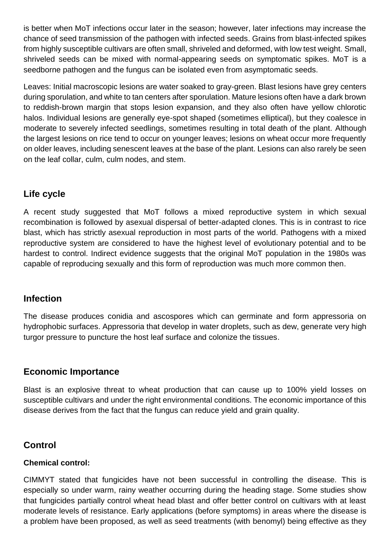is better when MoT infections occur later in the season; however, later infections may increase the chance of seed transmission of the pathogen with infected seeds. Grains from blast-infected spikes from highly susceptible cultivars are often small, shriveled and deformed, with low test weight. Small, shriveled seeds can be mixed with normal-appearing seeds on symptomatic spikes. MoT is a seedborne pathogen and the fungus can be isolated even from asymptomatic seeds.

Leaves: Initial macroscopic lesions are water soaked to gray-green. Blast lesions have grey centers during sporulation, and white to tan centers after sporulation. Mature lesions often have a dark brown to reddish-brown margin that stops lesion expansion, and they also often have yellow chlorotic halos. Individual lesions are generally eye-spot shaped (sometimes elliptical), but they coalesce in moderate to severely infected seedlings, sometimes resulting in total death of the plant. Although the largest lesions on rice tend to occur on younger leaves; lesions on wheat occur more frequently on older leaves, including senescent leaves at the base of the plant. Lesions can also rarely be seen on the leaf collar, culm, culm nodes, and stem.

## **Life cycle**

A recent study suggested that MoT follows a mixed reproductive system in which sexual recombination is followed by asexual dispersal of better-adapted clones. This is in contrast to rice blast, which has strictly asexual reproduction in most parts of the world. Pathogens with a mixed reproductive system are considered to have the highest level of evolutionary potential and to be hardest to control. Indirect evidence suggests that the original MoT population in the 1980s was capable of reproducing sexually and this form of reproduction was much more common then.

### **Infection**

The disease produces conidia and ascospores which can germinate and form appressoria on hydrophobic surfaces. Appressoria that develop in water droplets, such as dew, generate very high turgor pressure to puncture the host leaf surface and colonize the tissues.

### **Economic Importance**

Blast is an explosive threat to wheat production that can cause up to 100% yield losses on susceptible cultivars and under the right environmental conditions. The economic importance of this disease derives from the fact that the fungus can reduce yield and grain quality.

# **Control**

#### **Chemical control:**

CIMMYT stated that fungicides have not been successful in controlling the disease. This is especially so under warm, rainy weather occurring during the heading stage. Some studies show that fungicides partially control wheat head blast and offer better control on cultivars with at least moderate levels of resistance. Early applications (before symptoms) in areas where the disease is a problem have been proposed, as well as seed treatments (with benomyl) being effective as they